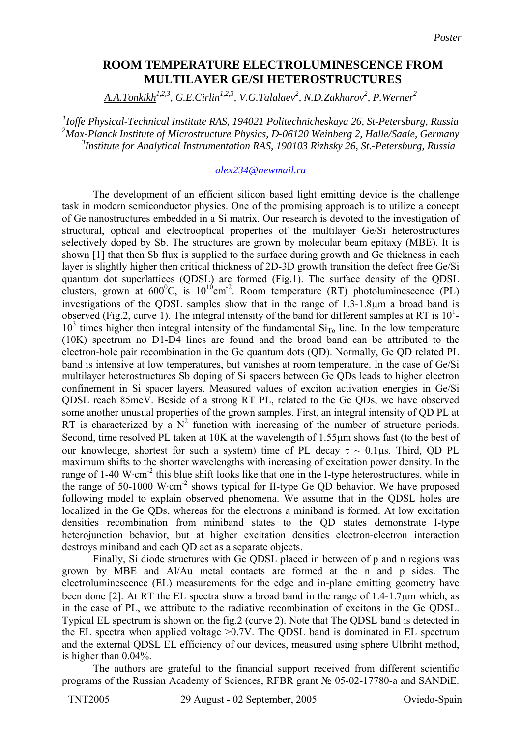## **ROOM TEMPERATURE ELECTROLUMINESCENCE FROM MULTILAYER GE/SI HETEROSTRUCTURES**

 $A.A.Tonkikh<sup>1,2,3</sup>, G.E.Cirlin<sup>1,2,3</sup>, V.G.Talalaev<sup>2</sup>, N.D.Zakharov<sup>2</sup>, P.Werner<sup>2</sup>$ 

*1 Ioffe Physical-Technical Institute RAS, 194021 Politechnicheskaya 26, St-Petersburg, Russia 2 Max-Planck Institute of Microstructure Physics, D-06120 Weinberg 2, Halle/Saale, Germany 3 Institute for Analytical Instrumentation RAS, 190103 Rizhsky 26, St.-Petersburg, Russia* 

## *[alex234@newmail.ru](mailto:alex234@newmail.ru)*

The development of an efficient silicon based light emitting device is the challenge task in modern semiconductor physics. One of the promising approach is to utilize a concept of Ge nanostructures embedded in a Si matrix. Our research is devoted to the investigation of structural, optical and electrooptical properties of the multilayer Ge/Si heterostructures selectively doped by Sb. The structures are grown by molecular beam epitaxy (MBE). It is shown [1] that then Sb flux is supplied to the surface during growth and Ge thickness in each layer is slightly higher then critical thickness of 2D-3D growth transition the defect free Ge/Si quantum dot superlattices (QDSL) are formed (Fig.1). The surface density of the QDSL clusters, grown at  $600^{\circ}$ C, is  $10^{10}$ cm<sup>-2</sup>. Room temperature (RT) photoluminescence (PL) investigations of the QDSL samples show that in the range of 1.3-1.8µm a broad band is observed (Fig.2, curve 1). The integral intensity of the band for different samples at RT is  $10<sup>1</sup>$ - $10<sup>3</sup>$  times higher then integral intensity of the fundamental  $Si<sub>To</sub>$  line. In the low temperature (10K) spectrum no D1-D4 lines are found and the broad band can be attributed to the electron-hole pair recombination in the Ge quantum dots (QD). Normally, Ge QD related PL band is intensive at low temperatures, but vanishes at room temperature. In the case of Ge/Si multilayer heterostructures Sb doping of Si spacers between Ge QDs leads to higher electron confinement in Si spacer layers. Measured values of exciton activation energies in Ge/Si QDSL reach 85meV. Beside of a strong RT PL, related to the Ge QDs, we have observed some another unusual properties of the grown samples. First, an integral intensity of QD PL at RT is characterized by a  $N^2$  function with increasing of the number of structure periods. Second, time resolved PL taken at 10K at the wavelength of 1.55µm shows fast (to the best of our knowledge, shortest for such a system) time of PL decay  $\tau \sim 0.1 \mu s$ . Third, QD PL maximum shifts to the shorter wavelengths with increasing of excitation power density. In the range of 1-40 W·cm<sup>-2</sup> this blue shift looks like that one in the I-type heterostructures, while in the range of 50-1000 W $\cdot$ cm<sup>-2</sup> shows typical for II-type Ge QD behavior. We have proposed following model to explain observed phenomena. We assume that in the QDSL holes are localized in the Ge QDs, whereas for the electrons a miniband is formed. At low excitation densities recombination from miniband states to the QD states demonstrate I-type heterojunction behavior, but at higher excitation densities electron-electron interaction destroys miniband and each QD act as a separate objects.

Finally, Si diode structures with Ge QDSL placed in between of p and n regions was grown by MBE and Al/Au metal contacts are formed at the n and p sides. The electroluminescence (EL) measurements for the edge and in-plane emitting geometry have been done [2]. At RT the EL spectra show a broad band in the range of 1.4-1.7µm which, as in the case of PL, we attribute to the radiative recombination of excitons in the Ge QDSL. Typical EL spectrum is shown on the fig.2 (curve 2). Note that The QDSL band is detected in the EL spectra when applied voltage >0.7V. The QDSL band is dominated in EL spectrum and the external QDSL EL efficiency of our devices, measured using sphere Ulbriht method, is higher than 0.04%.

The authors are grateful to the financial support received from different scientific programs of the Russian Academy of Sciences, RFBR grant № 05-02-17780-а and SANDiE.